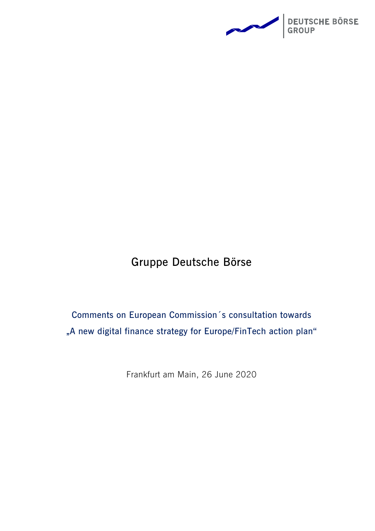

# **Gruppe Deutsche Börse**

**Comments on European Commission´s consultation towards "A new digital finance strategy for Europe/FinTech action plan"**

Frankfurt am Main, 26 June 2020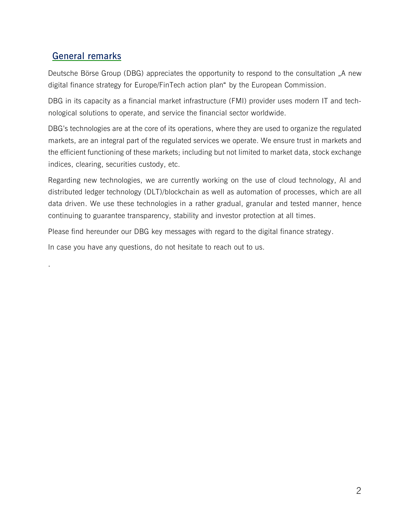## **General remarks**

.

Deutsche Börse Group (DBG) appreciates the opportunity to respond to the consultation "A new digital finance strategy for Europe/FinTech action plan" by the European Commission.

DBG in its capacity as a financial market infrastructure (FMI) provider uses modern IT and technological solutions to operate, and service the financial sector worldwide.

DBG's technologies are at the core of its operations, where they are used to organize the regulated markets, are an integral part of the regulated services we operate. We ensure trust in markets and the efficient functioning of these markets; including but not limited to market data, stock exchange indices, clearing, securities custody, etc.

Regarding new technologies, we are currently working on the use of cloud technology, AI and distributed ledger technology (DLT)/blockchain as well as automation of processes, which are all data driven. We use these technologies in a rather gradual, granular and tested manner, hence continuing to guarantee transparency, stability and investor protection at all times.

Please find hereunder our DBG key messages with regard to the digital finance strategy.

In case you have any questions, do not hesitate to reach out to us.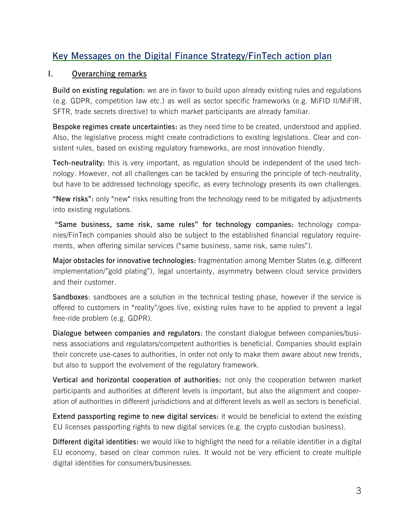# **Key Messages on the Digital Finance Strategy/FinTech action plan**

#### **I. Overarching remarks**

**Build on existing regulation:** we are in favor to build upon already existing rules and regulations (e.g. GDPR, competition law etc.) as well as sector specific frameworks (e.g. MiFID II/MiFIR, SFTR, trade secrets directive) to which market participants are already familiar.

**Bespoke regimes create uncertainties:** as they need time to be created, understood and applied. Also, the legislative process might create contradictions to existing legislations. Clear and consistent rules, based on existing regulatory frameworks, are most innovation friendly.

**Tech-neutrality:** this is very important, as regulation should be independent of the used technology. However, not all challenges can be tackled by ensuring the principle of tech-neutrality, but have to be addressed technology specific, as every technology presents its own challenges.

**"New risks":** only "new" risks resulting from the technology need to be mitigated by adjustments into existing regulations.

**"Same business, same risk, same rules" for technology companies:** technology companies/FinTech companies should also be subject to the established financial regulatory requirements, when offering similar services ("same business, same risk, same rules").

**Major obstacles for innovative technologies:** fragmentation among Member States (e.g. different implementation/"gold plating"), legal uncertainty, asymmetry between cloud service providers and their customer.

**Sandboxes**: sandboxes are a solution in the technical testing phase, however if the service is offered to customers in "reality"/goes live, existing rules have to be applied to prevent a legal free-ride problem (e.g. GDPR).

**Dialogue between companies and regulators**: the constant dialogue between companies/business associations and regulators/competent authorities is beneficial. Companies should explain their concrete use-cases to authorities, in order not only to make them aware about new trends, but also to support the evolvement of the regulatory framework.

**Vertical and horizontal cooperation of authorities:** not only the cooperation between market participants and authorities at different levels is important, but also the alignment and cooperation of authorities in different jurisdictions and at different levels as well as sectors is beneficial.

**Extend passporting regime to new digital services:** it would be beneficial to extend the existing EU licenses passporting rights to new digital services (e.g. the crypto custodian business).

**Different digital identities:** we would like to highlight the need for a reliable identifier in a digital EU economy, based on clear common rules. It would not be very efficient to create multiple digital identities for consumers/businesses.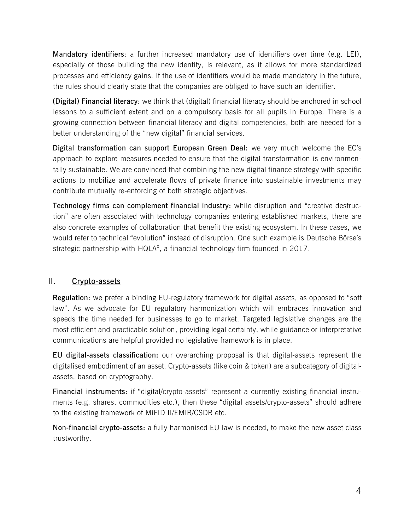**Mandatory identifiers**: a further increased mandatory use of identifiers over time (e.g. LEI), especially of those building the new identity, is relevant, as it allows for more standardized processes and efficiency gains. If the use of identifiers would be made mandatory in the future, the rules should clearly state that the companies are obliged to have such an identifier.

**(Digital) Financial literacy**: we think that (digital) financial literacy should be anchored in school lessons to a sufficient extent and on a compulsory basis for all pupils in Europe. There is a growing connection between financial literacy and digital competencies, both are needed for a better understanding of the "new digital" financial services.

**Digital transformation can support European Green Deal:** we very much welcome the EC's approach to explore measures needed to ensure that the digital transformation is environmentally sustainable. We are convinced that combining the new digital finance strategy with specific actions to mobilize and accelerate flows of private finance into sustainable investments may contribute mutually re-enforcing of both strategic objectives.

**Technology firms can complement financial industry:** while disruption and "creative destruction" are often associated with technology companies entering established markets, there are also concrete examples of collaboration that benefit the existing ecosystem. In these cases, we would refer to technical "evolution" instead of disruption. One such example is Deutsche Börse's strategic partnership with  $HQLA<sup>x</sup>$ , a financial technology firm founded in 2017.

#### **II. Crypto-assets**

**Regulation:** we prefer a binding EU-regulatory framework for digital assets, as opposed to "soft law". As we advocate for EU regulatory harmonization which will embraces innovation and speeds the time needed for businesses to go to market. Targeted legislative changes are the most efficient and practicable solution, providing legal certainty, while guidance or interpretative communications are helpful provided no legislative framework is in place.

**EU digital-assets classification:** our overarching proposal is that digital-assets represent the digitalised embodiment of an asset. Crypto-assets (like coin & token) are a subcategory of digitalassets, based on cryptography.

**Financial instruments:** if "digital/crypto-assets" represent a currently existing financial instruments (e.g. shares, commodities etc.), then these "digital assets/crypto-assets" should adhere to the existing framework of MiFID II/EMIR/CSDR etc.

**Non-financial crypto-assets:** a fully harmonised EU law is needed, to make the new asset class trustworthy.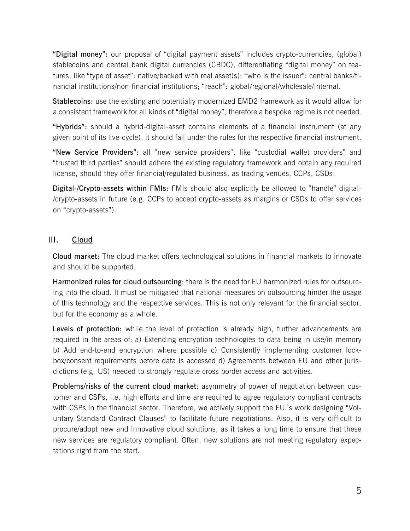**"Digital money":** our proposal of "digital payment assets" includes crypto-currencies, (global) stablecoins and central bank digital currencies (CBDC), differentiating "digital money" on features, like "type of asset": native/backed with real asset(s); "who is the issuer": central banks/financial institutions/non-financial institutions; "reach": global/regional/wholesale/internal.

**Stablecoins:** use the existing and potentially modernized EMD2 framework as it would allow for a consistent framework for all kinds of "digital money", therefore a bespoke regime is not needed.

**"Hybrids":** should a hybrid-digital-asset contains elements of a financial instrument (at any given point of its live-cycle), it should fall under the rules for the respective financial instrument.

**"New Service Providers":** all "new service providers", like "custodial wallet providers" and "trusted third parties" should adhere the existing regulatory framework and obtain any required license, should they offer financial/regulated business, as trading venues, CCPs, CSDs.

**Digital-/Crypto-assets within FMIs:** FMIs should also explicitly be allowed to "handle" digital- /crypto-assets in future (e.g. CCPs to accept crypto-assets as margins or CSDs to offer services on "crypto-assets").

#### **III. Cloud**

**Cloud market:** The cloud market offers technological solutions in financial markets to innovate and should be supported.

**Harmonized rules for cloud outsourcing**: there is the need for EU harmonized rules for outsourcing into the cloud. It must be mitigated that national measures on outsourcing hinder the usage of this technology and the respective services. This is not only relevant for the financial sector, but for the economy as a whole.

**Levels of protection:** while the level of protection is already high, further advancements are required in the areas of: a) Extending encryption technologies to data being in use/in memory b) Add end-to-end encryption where possible c) Consistently implementing customer lockbox/consent requirements before data is accessed d) Agreements between EU and other jurisdictions (e.g. US) needed to strongly regulate cross border access and activities.

**Problems/risks of the current cloud market**: asymmetry of power of negotiation between customer and CSPs, i.e. high efforts and time are required to agree regulatory compliant contracts with CSPs in the financial sector. Therefore, we actively support the EU´s work designing "Voluntary Standard Contract Clauses" to facilitate future negotiations. Also, it is very difficult to procure/adopt new and innovative cloud solutions, as it takes a long time to ensure that these new services are regulatory compliant. Often, new solutions are not meeting regulatory expectations right from the start.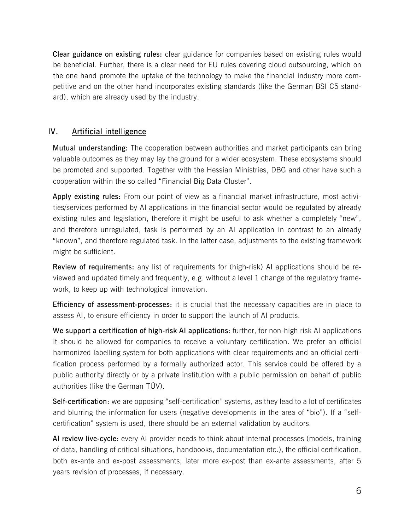**Clear guidance on existing rules:** clear guidance for companies based on existing rules would be beneficial. Further, there is a clear need for EU rules covering cloud outsourcing, which on the one hand promote the uptake of the technology to make the financial industry more competitive and on the other hand incorporates existing standards (like the German BSI C5 standard), which are already used by the industry.

#### **IV. Artificial intelligence**

**Mutual understanding:** The cooperation between authorities and market participants can bring valuable outcomes as they may lay the ground for a wider ecosystem. These ecosystems should be promoted and supported. Together with the Hessian Ministries, DBG and other have such a cooperation within the so called "Financial Big Data Cluster".

**Apply existing rules:** From our point of view as a financial market infrastructure, most activities/services performed by AI applications in the financial sector would be regulated by already existing rules and legislation, therefore it might be useful to ask whether a completely "new", and therefore unregulated, task is performed by an AI application in contrast to an already "known", and therefore regulated task. In the latter case, adjustments to the existing framework might be sufficient.

**Review of requirements:** any list of requirements for (high-risk) AI applications should be reviewed and updated timely and frequently, e.g. without a level 1 change of the regulatory framework, to keep up with technological innovation.

**Efficiency of assessment-processes:** it is crucial that the necessary capacities are in place to assess AI, to ensure efficiency in order to support the launch of AI products.

**We support a certification of high-risk AI applications**: further, for non-high risk AI applications it should be allowed for companies to receive a voluntary certification. We prefer an official harmonized labelling system for both applications with clear requirements and an official certification process performed by a formally authorized actor. This service could be offered by a public authority directly or by a private institution with a public permission on behalf of public authorities (like the German TÜV).

**Self-certification:** we are opposing "self-certification" systems, as they lead to a lot of certificates and blurring the information for users (negative developments in the area of "bio"). If a "selfcertification" system is used, there should be an external validation by auditors.

**AI review live-cycle:** every AI provider needs to think about internal processes (models, training of data, handling of critical situations, handbooks, documentation etc.), the official certification, both ex-ante and ex-post assessments, later more ex-post than ex-ante assessments, after 5 years revision of processes, if necessary.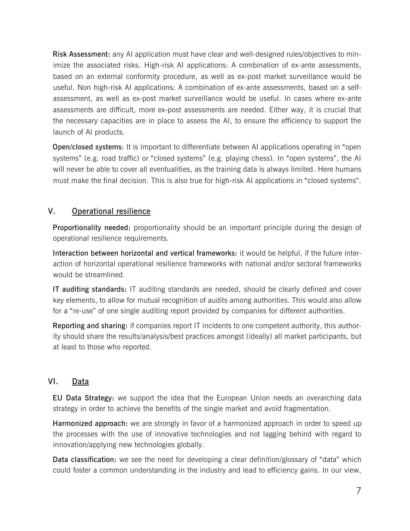**Risk Assessment:** any AI application must have clear and well-designed rules/objectives to minimize the associated risks. High-risk AI applications: A combination of ex-ante assessments, based on an external conformity procedure, as well as ex-post market surveillance would be useful. Non high-risk AI applications: A combination of ex-ante assessments, based on a selfassessment, as well as ex-post market surveillance would be useful. In cases where ex-ante assessments are difficult, more ex-post assessments are needed. Either way, it is crucial that the necessary capacities are in place to assess the AI, to ensure the efficiency to support the launch of AI products.

**Open/closed systems**: It is important to differentiate between AI applications operating in "open systems" (e.g. road traffic) or "closed systems" (e.g. playing chess). In "open systems", the AI will never be able to cover all eventualities, as the training data is always limited. Here humans must make the final decision. This is also true for high-risk AI applications in "closed systems".

## **V. Operational resilience**

**Proportionality needed:** proportionality should be an important principle during the design of operational resilience requirements.

**Interaction between horizontal and vertical frameworks:** it would be helpful, if the future interaction of horizontal operational resilience frameworks with national and/or sectoral frameworks would be streamlined.

**IT auditing standards:** IT auditing standards are needed, should be clearly defined and cover key elements, to allow for mutual recognition of audits among authorities. This would also allow for a "re-use" of one single auditing report provided by companies for different authorities.

**Reporting and sharing:** if companies report IT incidents to one competent authority, this authority should share the results/analysis/best practices amongst (ideally) all market participants, but at least to those who reported.

## **VI. Data**

**EU Data Strategy:** we support the idea that the European Union needs an overarching data strategy in order to achieve the benefits of the single market and avoid fragmentation.

**Harmonized approach:** we are strongly in favor of a harmonized approach in order to speed up the processes with the use of innovative technologies and not lagging behind with regard to innovation/applying new technologies globally.

**Data classification:** we see the need for developing a clear definition/glossary of "data" which could foster a common understanding in the industry and lead to efficiency gains. In our view,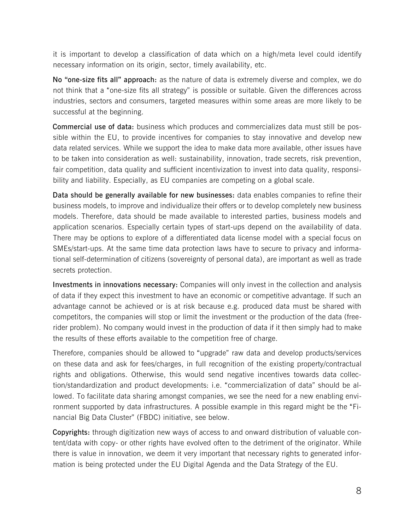it is important to develop a classification of data which on a high/meta level could identify necessary information on its origin, sector, timely availability, etc.

**No "one-size fits all" approach:** as the nature of data is extremely diverse and complex, we do not think that a "one-size fits all strategy" is possible or suitable. Given the differences across industries, sectors and consumers, targeted measures within some areas are more likely to be successful at the beginning.

**Commercial use of data:** business which produces and commercializes data must still be possible within the EU, to provide incentives for companies to stay innovative and develop new data related services. While we support the idea to make data more available, other issues have to be taken into consideration as well: sustainability, innovation, trade secrets, risk prevention, fair competition, data quality and sufficient incentivization to invest into data quality, responsibility and liability. Especially, as EU companies are competing on a global scale.

**Data should be generally available for new businesses:** data enables companies to refine their business models, to improve and individualize their offers or to develop completely new business models. Therefore, data should be made available to interested parties, business models and application scenarios. Especially certain types of start-ups depend on the availability of data. There may be options to explore of a differentiated data license model with a special focus on SMEs/start-ups. At the same time data protection laws have to secure to privacy and informational self-determination of citizens (sovereignty of personal data), are important as well as trade secrets protection.

**Investments in innovations necessary:** Companies will only invest in the collection and analysis of data if they expect this investment to have an economic or competitive advantage. If such an advantage cannot be achieved or is at risk because e.g. produced data must be shared with competitors, the companies will stop or limit the investment or the production of the data (freerider problem). No company would invest in the production of data if it then simply had to make the results of these efforts available to the competition free of charge.

Therefore, companies should be allowed to "upgrade" raw data and develop products/services on these data and ask for fees/charges, in full recognition of the existing property/contractual rights and obligations. Otherwise, this would send negative incentives towards data collection/standardization and product developments: i.e. "commercialization of data" should be allowed. To facilitate data sharing amongst companies, we see the need for a new enabling environment supported by data infrastructures. A possible example in this regard might be the "Financial Big Data Cluster" (FBDC) initiative, see below.

**Copyrights:** through digitization new ways of access to and onward distribution of valuable content/data with copy- or other rights have evolved often to the detriment of the originator. While there is value in innovation, we deem it very important that necessary rights to generated information is being protected under the EU Digital Agenda and the Data Strategy of the EU.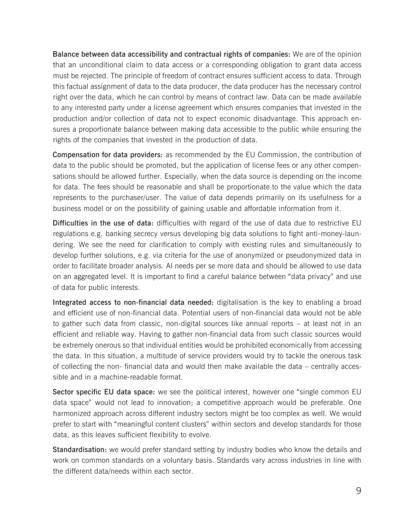**Balance between data accessibility and contractual rights of companies:** We are of the opinion that an unconditional claim to data access or a corresponding obligation to grant data access must be rejected. The principle of freedom of contract ensures sufficient access to data. Through this factual assignment of data to the data producer, the data producer has the necessary control right over the data, which he can control by means of contract law. Data can be made available to any interested party under a license agreement which ensures companies that invested in the production and/or collection of data not to expect economic disadvantage. This approach ensures a proportionate balance between making data accessible to the public while ensuring the rights of the companies that invested in the production of data.

**Compensation for data providers:** as recommended by the EU Commission, the contribution of data to the public should be promoted, but the application of license fees or any other compensations should be allowed further. Especially, when the data source is depending on the income for data. The fees should be reasonable and shall be proportionate to the value which the data represents to the purchaser/user. The value of data depends primarily on its usefulness for a business model or on the possibility of gaining usable and affordable information from it.

**Difficulties in the use of data:** difficulties with regard of the use of data due to restrictive EU regulations e.g. banking secrecy versus developing big data solutions to fight anti-money-laundering. We see the need for clarification to comply with existing rules and simultaneously to develop further solutions, e.g. via criteria for the use of anonymized or pseudonymized data in order to facilitate broader analysis. AI needs per se more data and should be allowed to use data on an aggregated level. It is important to find a careful balance between "data privacy" and use of data for public interests.

**Integrated access to non-financial data needed:** digitalisation is the key to enabling a broad and efficient use of non-financial data. Potential users of non-financial data would not be able to gather such data from classic, non-digital sources like annual reports – at least not in an efficient and reliable way. Having to gather non-financial data from such classic sources would be extremely onerous so that individual entities would be prohibited economically from accessing the data. In this situation, a multitude of service providers would try to tackle the onerous task of collecting the non- financial data and would then make available the data – centrally accessible and in a machine-readable format.

**Sector specific EU data space:** we see the political interest, however one "single common EU data space" would not lead to innovation; a competitive approach would be preferable. One harmonized approach across different industry sectors might be too complex as well. We would prefer to start with "meaningful content clusters" within sectors and develop standards for those data, as this leaves sufficient flexibility to evolve.

**Standardisation:** we would prefer standard setting by industry bodies who know the details and work on common standards on a voluntary basis. Standards vary across industries in line with the different data/needs within each sector.